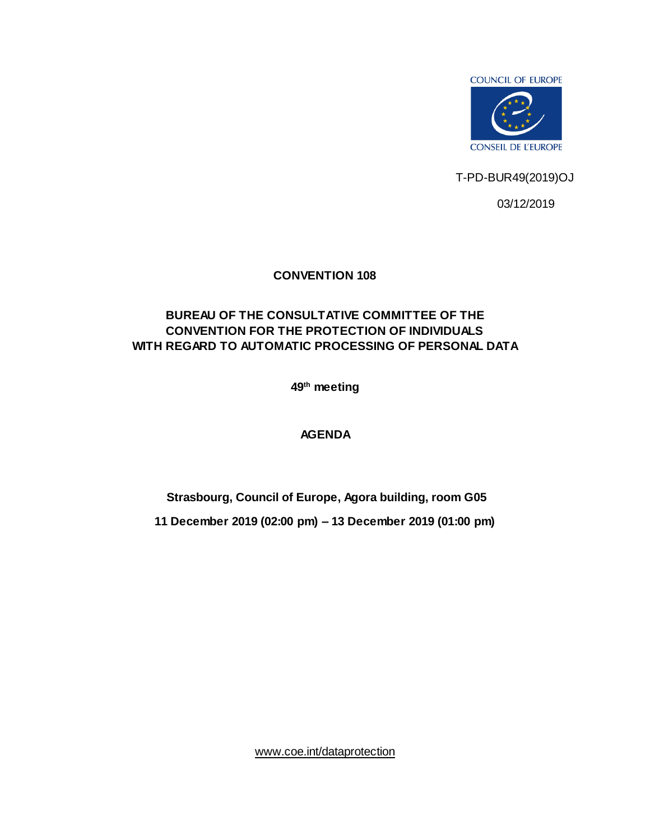

T-PD-BUR49(2019)OJ

03/12/2019

## **CONVENTION 108**

## **BUREAU OF THE CONSULTATIVE COMMITTEE OF THE CONVENTION FOR THE PROTECTION OF INDIVIDUALS WITH REGARD TO AUTOMATIC PROCESSING OF PERSONAL DATA**

**49 th meeting** 

## **AGENDA**

**Strasbourg, Council of Europe, Agora building, room G05** 

**11 December 2019 (02:00 pm) – 13 December 2019 (01:00 pm)**

[www.coe.int/dataprotection](http://www.coe.int/dataprotection)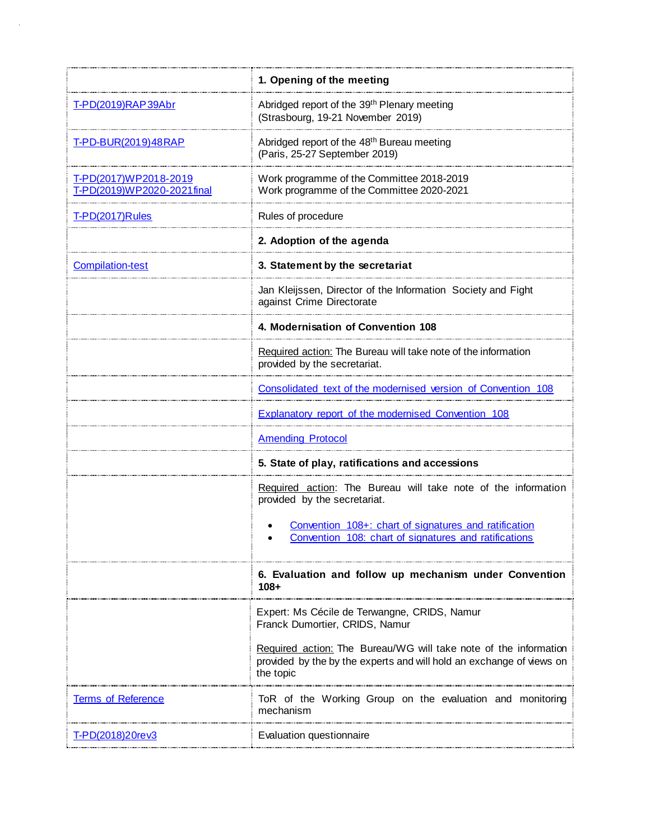|                                                            | 1. Opening of the meeting                                                                                                                             |  |  |  |
|------------------------------------------------------------|-------------------------------------------------------------------------------------------------------------------------------------------------------|--|--|--|
| T-PD(2019)RAP39Abr                                         | Abridged report of the 39 <sup>th</sup> Plenary meeting<br>(Strasbourg, 19-21 November 2019)                                                          |  |  |  |
| <u>T-PD-BUR(2019)48RAP</u>                                 | Abridged report of the 48 <sup>th</sup> Bureau meeting<br>(Paris, 25-27 September 2019)                                                               |  |  |  |
| <u>T-PD(2017)WP2018-2019</u><br>T-PD(2019)WP2020-2021final | Work programme of the Committee 2018-2019<br>Work programme of the Committee 2020-2021                                                                |  |  |  |
| T-PD(2017)Rules                                            | Rules of procedure                                                                                                                                    |  |  |  |
|                                                            | 2. Adoption of the agenda                                                                                                                             |  |  |  |
| <b>Compilation-test</b>                                    | 3. Statement by the secretariat                                                                                                                       |  |  |  |
|                                                            | Jan Kleijssen, Director of the Information Society and Fight<br>against Crime Directorate                                                             |  |  |  |
|                                                            | 4. Modernisation of Convention 108                                                                                                                    |  |  |  |
|                                                            | Required action: The Bureau will take note of the information<br>provided by the secretariat.                                                         |  |  |  |
|                                                            | Consolidated text of the modernised version of Convention 108                                                                                         |  |  |  |
|                                                            | Explanatory report of the modernised Convention 108                                                                                                   |  |  |  |
|                                                            | <b>Amending Protocol</b><br>5. State of play, ratifications and accessions                                                                            |  |  |  |
|                                                            |                                                                                                                                                       |  |  |  |
|                                                            | Required action: The Bureau will take note of the information<br>provided by the secretariat.                                                         |  |  |  |
|                                                            | Convention 108+: chart of signatures and ratification<br>Convention 108: chart of signatures and ratifications                                        |  |  |  |
|                                                            | 6. Evaluation and follow up mechanism under Convention<br>108+                                                                                        |  |  |  |
|                                                            | Expert: Ms Cécile de Terwangne, CRIDS, Namur<br>Franck Dumortier, CRIDS, Namur                                                                        |  |  |  |
|                                                            | Required action: The Bureau/WG will take note of the information<br>provided by the by the experts and will hold an exchange of views on<br>the topic |  |  |  |
| <b>Terms of Reference</b>                                  | ToR of the Working Group on the evaluation and monitoring<br>mechanism                                                                                |  |  |  |
| T-PD(2018)20rev3                                           | Evaluation questionnaire                                                                                                                              |  |  |  |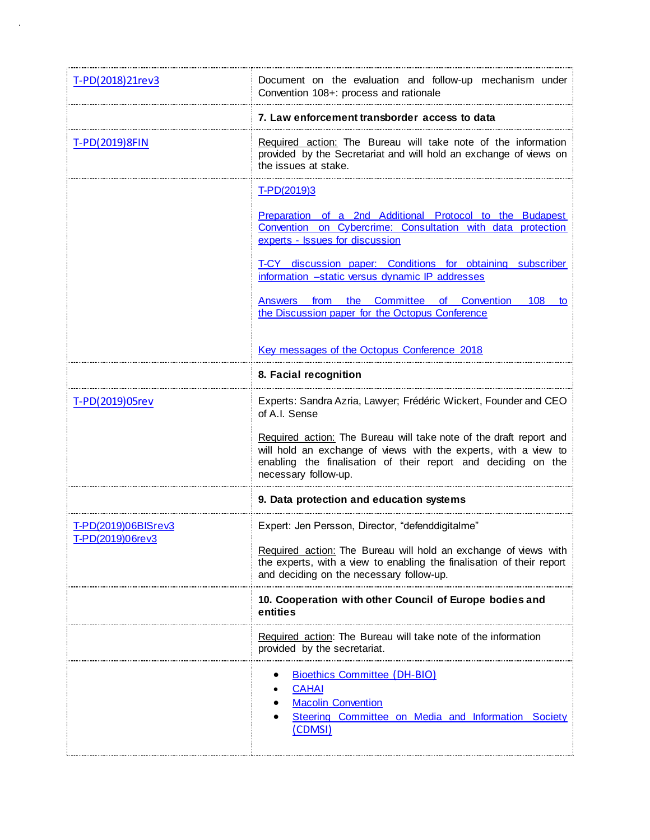| T-PD(2018)21rev3                        | Document on the evaluation and follow-up mechanism under<br>Convention 108+: process and rationale                                                                                                                             |  |  |  |
|-----------------------------------------|--------------------------------------------------------------------------------------------------------------------------------------------------------------------------------------------------------------------------------|--|--|--|
|                                         | 7. Law entorcement transborder  access to data                                                                                                                                                                                 |  |  |  |
| <u>T-PD(2019)8FIN</u>                   | Required action: The Bureau will take note of the information<br>provided by the Secretariat and will hold an exchange of views on<br>the issues at stake.<br><u>T-PD(2019)3</u>                                               |  |  |  |
|                                         |                                                                                                                                                                                                                                |  |  |  |
|                                         | <b>Preparation of a 2nd Additional Protocol to the Budapest</b><br>Convention on Cybercrime: Consultation with data protection<br>experts - Issues for discussion                                                              |  |  |  |
|                                         | T-CY discussion paper: Conditions for obtaining subscriber<br>information -static versus dynamic IP addresses                                                                                                                  |  |  |  |
|                                         | Answers from the Committee of Convention<br>108<br>to<br>the Discussion paper for the Octopus Conference                                                                                                                       |  |  |  |
|                                         | Key messages of the Octopus Conference 2018                                                                                                                                                                                    |  |  |  |
|                                         | 8. Facial recognition                                                                                                                                                                                                          |  |  |  |
| T-PD(2019)05rev                         | Experts: Sandra Azria, Lawyer; Frédéric Wickert, Founder and CEO<br>of A.I. Sense                                                                                                                                              |  |  |  |
|                                         | Required action: The Bureau will take note of the draft report and<br>will hold an exchange of views with the experts, with a view to<br>enabling the finalisation of their report and deciding on the<br>necessary follow-up. |  |  |  |
|                                         | 9. Data protection and education systems                                                                                                                                                                                       |  |  |  |
| T-PD(2019)06BISrev3<br>T-PD(2019)06rev3 | Expert: Jen Persson, Director, "defenddigitalme"                                                                                                                                                                               |  |  |  |
|                                         | Required action: The Bureau will hold an exchange of views with<br>the experts, with a view to enabling the finalisation of their report<br>and deciding on the necessary follow-up.                                           |  |  |  |
|                                         | 10. Cooperation with other Council of Europe bodies and<br>entities                                                                                                                                                            |  |  |  |
|                                         | Required action: The Bureau will take note of the information<br>provided by the secretariat.                                                                                                                                  |  |  |  |
|                                         | <b>Bioethics Committee (DH-BIO)</b><br><b>CAHAI</b><br><b>Macolin Convention</b><br>Steering Committee on Media and Information Society<br>(CDMSI)                                                                             |  |  |  |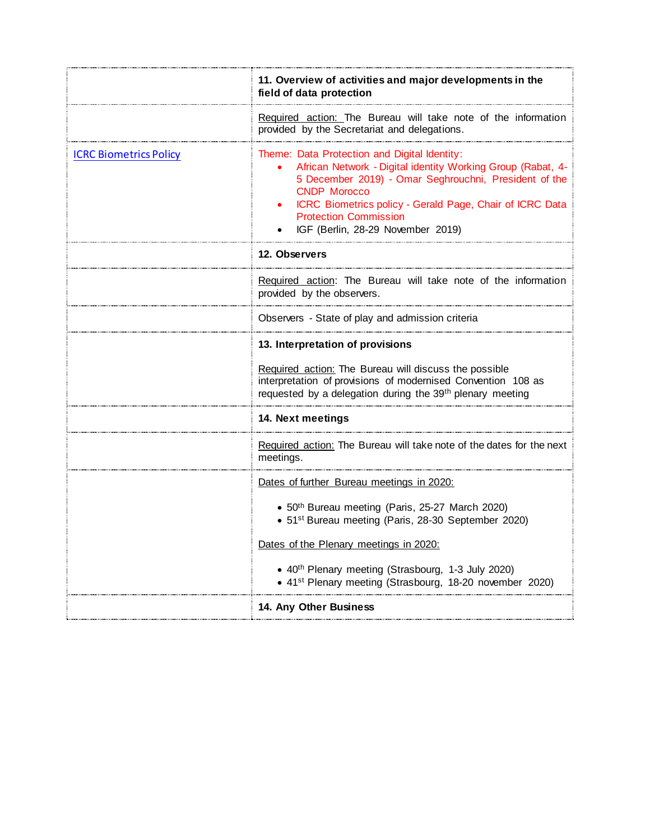|                               | 11. Overview of activities and major developments in the<br>field of data protection                                                                                                                                                                                                                                         |  |  |  |
|-------------------------------|------------------------------------------------------------------------------------------------------------------------------------------------------------------------------------------------------------------------------------------------------------------------------------------------------------------------------|--|--|--|
|                               | Required action: The Bureau will take note of the information<br>provided by the Secretariat and delegations.                                                                                                                                                                                                                |  |  |  |
| <b>ICRC Biometrics Policy</b> | Theme: Data Protection and Digital Identity:<br>African Network - Digital identity Working Group (Rabat, 4-<br>5 December 2019) - Omar Seghrouchni, President of the<br><b>CNDP Morocco</b><br>ICRC Biometrics policy - Gerald Page, Chair of ICRC Data<br><b>Protection Commission</b><br>IGF (Berlin, 28-29 November 2019) |  |  |  |
|                               | 12. Observers                                                                                                                                                                                                                                                                                                                |  |  |  |
|                               | Required action: The Bureau will take note of the information<br>provided by the observers.                                                                                                                                                                                                                                  |  |  |  |
|                               | Observers - State of play and admission criteria                                                                                                                                                                                                                                                                             |  |  |  |
|                               | 13. Interpretation of provisions                                                                                                                                                                                                                                                                                             |  |  |  |
|                               | Required action: The Bureau will discuss the possible<br>interpretation of provisions of modernised Convention 108 as<br>requested by a delegation during the 39 <sup>th</sup> plenary meeting                                                                                                                               |  |  |  |
|                               | 14. Next meetings                                                                                                                                                                                                                                                                                                            |  |  |  |
|                               | Required action: The Bureau will take note of the dates for the next<br>meetings.                                                                                                                                                                                                                                            |  |  |  |
|                               | Dates of further Bureau meetings in 2020:                                                                                                                                                                                                                                                                                    |  |  |  |
|                               | • 50 <sup>th</sup> Bureau meeting (Paris, 25-27 March 2020)<br>• 51 <sup>st</sup> Bureau meeting (Paris, 28-30 September 2020)                                                                                                                                                                                               |  |  |  |
|                               | Dates of the Plenary meetings in 2020:                                                                                                                                                                                                                                                                                       |  |  |  |
|                               | • 40th Plenary meeting (Strasbourg, 1-3 July 2020)<br>• 41 <sup>st</sup> Plenary meeting (Strasbourg, 18-20 november 2020)                                                                                                                                                                                                   |  |  |  |
|                               | 14. Any Other Business                                                                                                                                                                                                                                                                                                       |  |  |  |